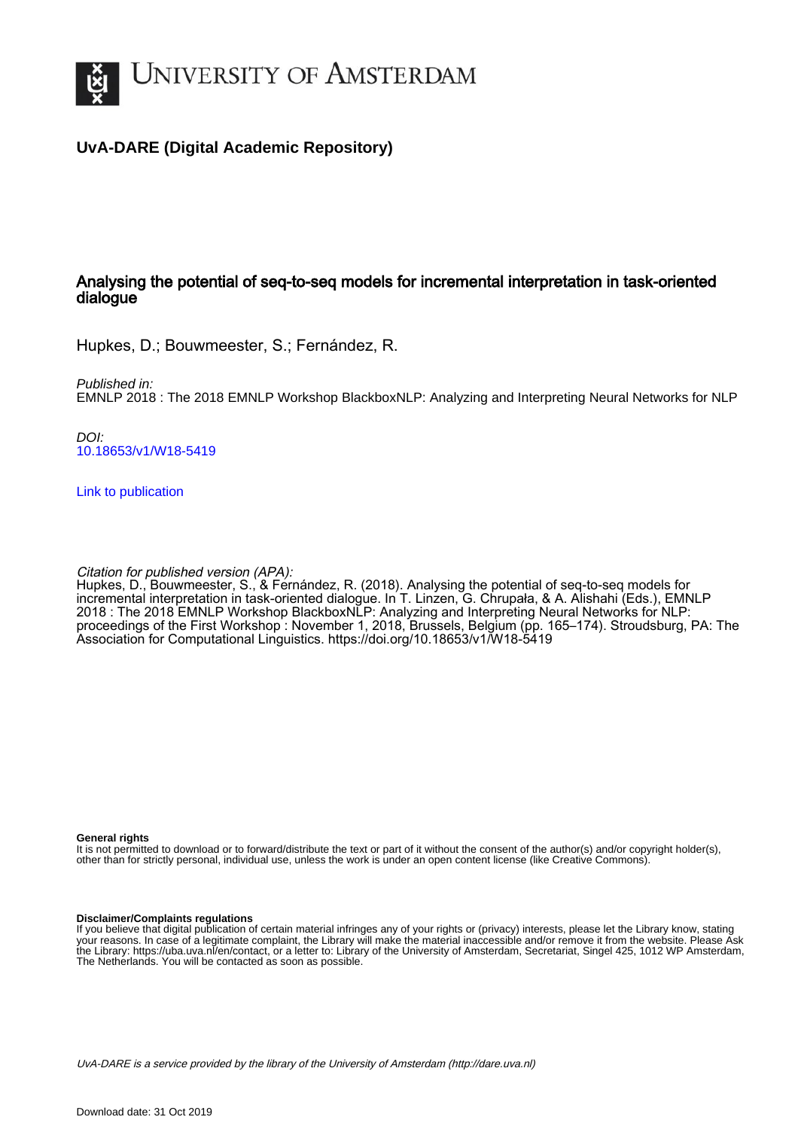

# **UvA-DARE (Digital Academic Repository)**

## Analysing the potential of seq-to-seq models for incremental interpretation in task-oriented dialogue

Hupkes, D.; Bouwmeester, S.; Fernández, R.

Published in: EMNLP 2018 : The 2018 EMNLP Workshop BlackboxNLP: Analyzing and Interpreting Neural Networks for NLP

DOI: [10.18653/v1/W18-5419](https://doi.org/10.18653/v1/W18-5419)

[Link to publication](https://dare.uva.nl/personal/pure/en/publications/analysing-the-potential-of-seqtoseq-models-for-incremental-interpretation-in-taskoriented-dialogue(6a5ab088-4aaa-4ee5-bdbf-79d155a2cb78).html)

Citation for published version (APA):

Hupkes, D., Bouwmeester, S., & Fernández, R. (2018). Analysing the potential of seq-to-seq models for incremental interpretation in task-oriented dialogue. In T. Linzen, G. Chrupała, & A. Alishahi (Eds.), EMNLP 2018 : The 2018 EMNLP Workshop BlackboxNLP: Analyzing and Interpreting Neural Networks for NLP: proceedings of the First Workshop : November 1, 2018, Brussels, Belgium (pp. 165–174). Stroudsburg, PA: The Association for Computational Linguistics. https://doi.org/10.18653/v1/W18-5419

**General rights**

It is not permitted to download or to forward/distribute the text or part of it without the consent of the author(s) and/or copyright holder(s), other than for strictly personal, individual use, unless the work is under an open content license (like Creative Commons).

#### **Disclaimer/Complaints regulations**

If you believe that digital publication of certain material infringes any of your rights or (privacy) interests, please let the Library know, stating your reasons. In case of a legitimate complaint, the Library will make the material inaccessible and/or remove it from the website. Please Ask the Library: https://uba.uva.nl/en/contact, or a letter to: Library of the University of Amsterdam, Secretariat, Singel 425, 1012 WP Amsterdam, The Netherlands. You will be contacted as soon as possible.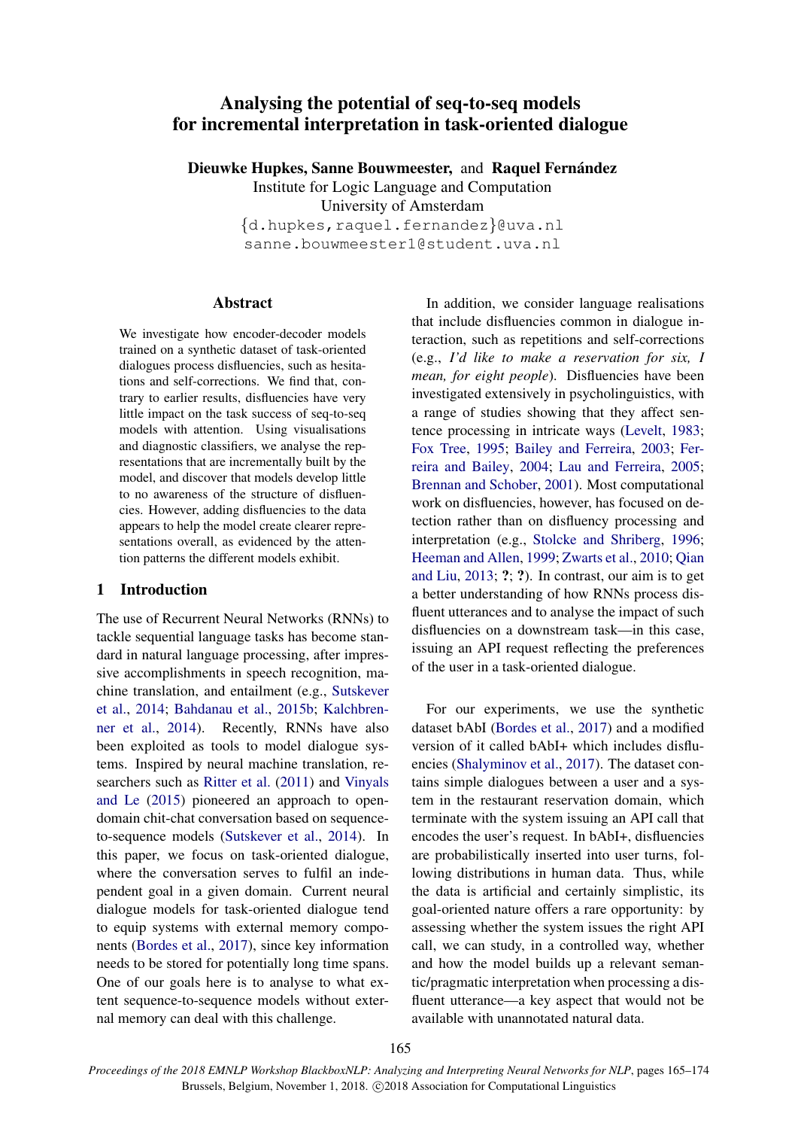# <span id="page-1-0"></span>Analysing the potential of seq-to-seq models for incremental interpretation in task-oriented dialogue

Dieuwke Hupkes, Sanne Bouwmeester, and Raquel Fernández

Institute for Logic Language and Computation University of Amsterdam {d.hupkes,raquel.fernandez}@uva.nl sanne.bouwmeester1@student.uva.nl

#### Abstract

We investigate how encoder-decoder models trained on a synthetic dataset of task-oriented dialogues process disfluencies, such as hesitations and self-corrections. We find that, contrary to earlier results, disfluencies have very little impact on the task success of seq-to-seq models with attention. Using visualisations and diagnostic classifiers, we analyse the representations that are incrementally built by the model, and discover that models develop little to no awareness of the structure of disfluencies. However, adding disfluencies to the data appears to help the model create clearer representations overall, as evidenced by the attention patterns the different models exhibit.

### 1 Introduction

The use of Recurrent Neural Networks (RNNs) to tackle sequential language tasks has become standard in natural language processing, after impressive accomplishments in speech recognition, machine translation, and entailment (e.g., [Sutskever](#page-10-0) [et al.,](#page-10-0) [2014;](#page-10-0) [Bahdanau et al.,](#page-9-0) [2015b;](#page-9-0) [Kalchbren](#page-9-1)[ner et al.,](#page-9-1) [2014\)](#page-9-1). Recently, RNNs have also been exploited as tools to model dialogue systems. Inspired by neural machine translation, researchers such as [Ritter et al.](#page-9-2) [\(2011\)](#page-9-2) and [Vinyals](#page-10-1) [and Le](#page-10-1) [\(2015\)](#page-10-1) pioneered an approach to opendomain chit-chat conversation based on sequenceto-sequence models [\(Sutskever et al.,](#page-10-0) [2014\)](#page-10-0). In this paper, we focus on task-oriented dialogue, where the conversation serves to fulfil an independent goal in a given domain. Current neural dialogue models for task-oriented dialogue tend to equip systems with external memory components [\(Bordes et al.,](#page-9-3) [2017\)](#page-9-3), since key information needs to be stored for potentially long time spans. One of our goals here is to analyse to what extent sequence-to-sequence models without external memory can deal with this challenge.

In addition, we consider language realisations that include disfluencies common in dialogue interaction, such as repetitions and self-corrections (e.g., *I'd like to make a reservation for six, I mean, for eight people*). Disfluencies have been investigated extensively in psycholinguistics, with a range of studies showing that they affect sentence processing in intricate ways [\(Levelt,](#page-9-4) [1983;](#page-9-4) [Fox Tree,](#page-9-5) [1995;](#page-9-5) [Bailey and Ferreira,](#page-9-6) [2003;](#page-9-6) [Fer](#page-9-7)[reira and Bailey,](#page-9-7) [2004;](#page-9-7) [Lau and Ferreira,](#page-9-8) [2005;](#page-9-8) [Brennan and Schober,](#page-9-9) [2001\)](#page-9-9). Most computational work on disfluencies, however, has focused on detection rather than on disfluency processing and interpretation (e.g., [Stolcke and Shriberg,](#page-9-10) [1996;](#page-9-10) [Heeman and Allen,](#page-9-11) [1999;](#page-9-11) [Zwarts et al.,](#page-10-2) [2010;](#page-10-2) [Qian](#page-9-12) [and Liu,](#page-9-12) [2013;](#page-9-12) ?; ?). In contrast, our aim is to get a better understanding of how RNNs process disfluent utterances and to analyse the impact of such disfluencies on a downstream task—in this case, issuing an API request reflecting the preferences of the user in a task-oriented dialogue.

For our experiments, we use the synthetic dataset bAbI [\(Bordes et al.,](#page-9-3) [2017\)](#page-9-3) and a modified version of it called bAbI+ which includes disfluencies [\(Shalyminov et al.,](#page-9-13) [2017\)](#page-9-13). The dataset contains simple dialogues between a user and a system in the restaurant reservation domain, which terminate with the system issuing an API call that encodes the user's request. In bAbI+, disfluencies are probabilistically inserted into user turns, following distributions in human data. Thus, while the data is artificial and certainly simplistic, its goal-oriented nature offers a rare opportunity: by assessing whether the system issues the right API call, we can study, in a controlled way, whether and how the model builds up a relevant semantic/pragmatic interpretation when processing a disfluent utterance—a key aspect that would not be available with unannotated natural data.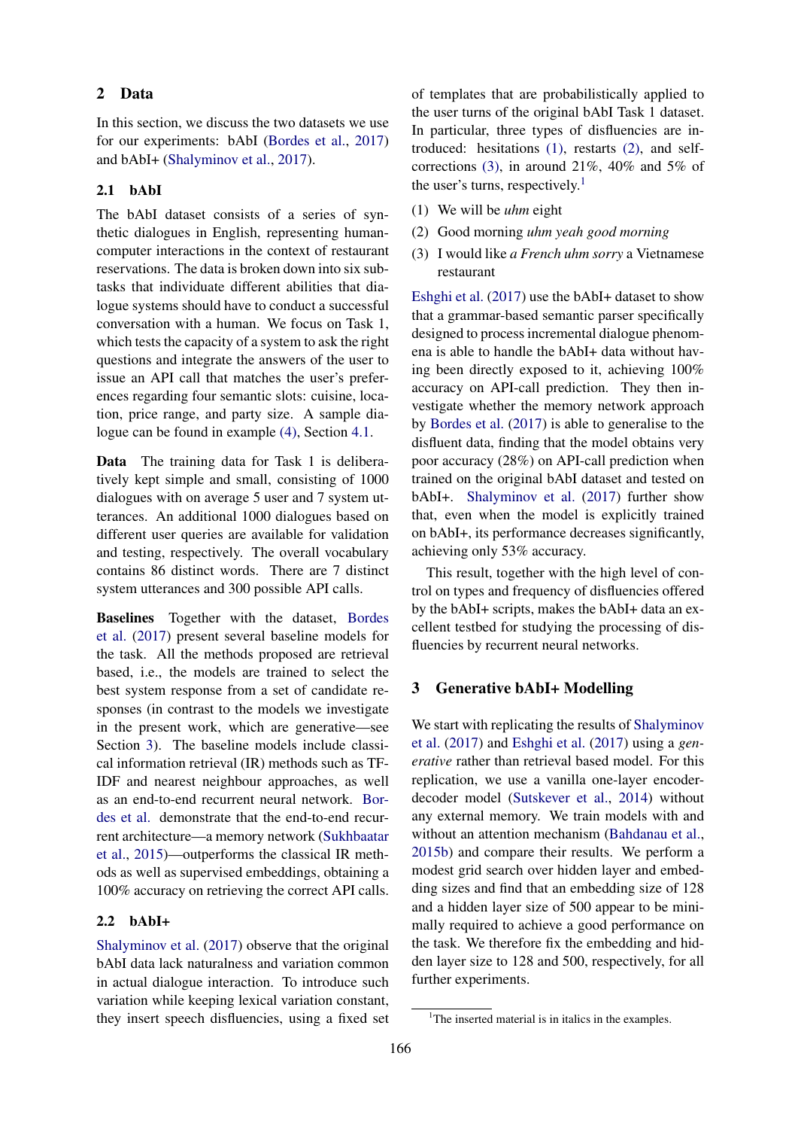## 2 Data

In this section, we discuss the two datasets we use for our experiments: bAbI [\(Bordes et al.,](#page-9-3) [2017\)](#page-9-3) and bAbI+ [\(Shalyminov et al.,](#page-9-13) [2017\)](#page-9-13).

## 2.1 bAbI

The bAbI dataset consists of a series of synthetic dialogues in English, representing humancomputer interactions in the context of restaurant reservations. The data is broken down into six subtasks that individuate different abilities that dialogue systems should have to conduct a successful conversation with a human. We focus on Task 1, which tests the capacity of a system to ask the right questions and integrate the answers of the user to issue an API call that matches the user's preferences regarding four semantic slots: cuisine, location, price range, and party size. A sample dialogue can be found in example [\(4\),](#page-4-0) Section [4.1.](#page-3-0)

Data The training data for Task 1 is deliberatively kept simple and small, consisting of 1000 dialogues with on average 5 user and 7 system utterances. An additional 1000 dialogues based on different user queries are available for validation and testing, respectively. The overall vocabulary contains 86 distinct words. There are 7 distinct system utterances and 300 possible API calls.

Baselines Together with the dataset, [Bordes](#page-9-3) [et al.](#page-9-3) [\(2017\)](#page-9-3) present several baseline models for the task. All the methods proposed are retrieval based, i.e., the models are trained to select the best system response from a set of candidate responses (in contrast to the models we investigate in the present work, which are generative—see Section [3\)](#page-2-0). The baseline models include classical information retrieval (IR) methods such as TF-IDF and nearest neighbour approaches, as well as an end-to-end recurrent neural network. [Bor](#page-9-3)[des et al.](#page-9-3) demonstrate that the end-to-end recurrent architecture—a memory network [\(Sukhbaatar](#page-10-3) [et al.,](#page-10-3) [2015\)](#page-10-3)—outperforms the classical IR methods as well as supervised embeddings, obtaining a 100% accuracy on retrieving the correct API calls.

## <span id="page-2-5"></span>2.2 bAbI+

[Shalyminov et al.](#page-9-13) [\(2017\)](#page-9-13) observe that the original bAbI data lack naturalness and variation common in actual dialogue interaction. To introduce such variation while keeping lexical variation constant, they insert speech disfluencies, using a fixed set of templates that are probabilistically applied to the user turns of the original bAbI Task 1 dataset. In particular, three types of disfluencies are introduced: hesitations [\(1\),](#page-2-1) restarts [\(2\),](#page-2-2) and selfcorrections [\(3\),](#page-2-3) in around 21%, 40% and 5% of the user's turns, respectively.<sup>[1](#page-2-4)</sup>

- <span id="page-2-1"></span>(1) We will be *uhm* eight
- <span id="page-2-2"></span>(2) Good morning *uhm yeah good morning*
- <span id="page-2-3"></span>(3) I would like *a French uhm sorry* a Vietnamese restaurant

[Eshghi et al.](#page-9-14) [\(2017\)](#page-9-14) use the bAbI+ dataset to show that a grammar-based semantic parser specifically designed to process incremental dialogue phenomena is able to handle the bAbI+ data without having been directly exposed to it, achieving 100% accuracy on API-call prediction. They then investigate whether the memory network approach by [Bordes et al.](#page-9-3) [\(2017\)](#page-9-3) is able to generalise to the disfluent data, finding that the model obtains very poor accuracy (28%) on API-call prediction when trained on the original bAbI dataset and tested on bAbI+. [Shalyminov et al.](#page-9-13) [\(2017\)](#page-9-13) further show that, even when the model is explicitly trained on bAbI+, its performance decreases significantly, achieving only 53% accuracy.

This result, together with the high level of control on types and frequency of disfluencies offered by the bAbI+ scripts, makes the bAbI+ data an excellent testbed for studying the processing of disfluencies by recurrent neural networks.

#### <span id="page-2-0"></span>3 Generative bAbI+ Modelling

We start with replicating the results of [Shalyminov](#page-9-13) [et al.](#page-9-13) [\(2017\)](#page-9-13) and [Eshghi et al.](#page-9-14) [\(2017\)](#page-9-14) using a *generative* rather than retrieval based model. For this replication, we use a vanilla one-layer encoderdecoder model [\(Sutskever et al.,](#page-10-0) [2014\)](#page-10-0) without any external memory. We train models with and without an attention mechanism [\(Bahdanau et al.,](#page-9-0) [2015b\)](#page-9-0) and compare their results. We perform a modest grid search over hidden layer and embedding sizes and find that an embedding size of 128 and a hidden layer size of 500 appear to be minimally required to achieve a good performance on the task. We therefore fix the embedding and hidden layer size to 128 and 500, respectively, for all further experiments.

<span id="page-2-4"></span><sup>&</sup>lt;sup>1</sup>The inserted material is in italics in the examples.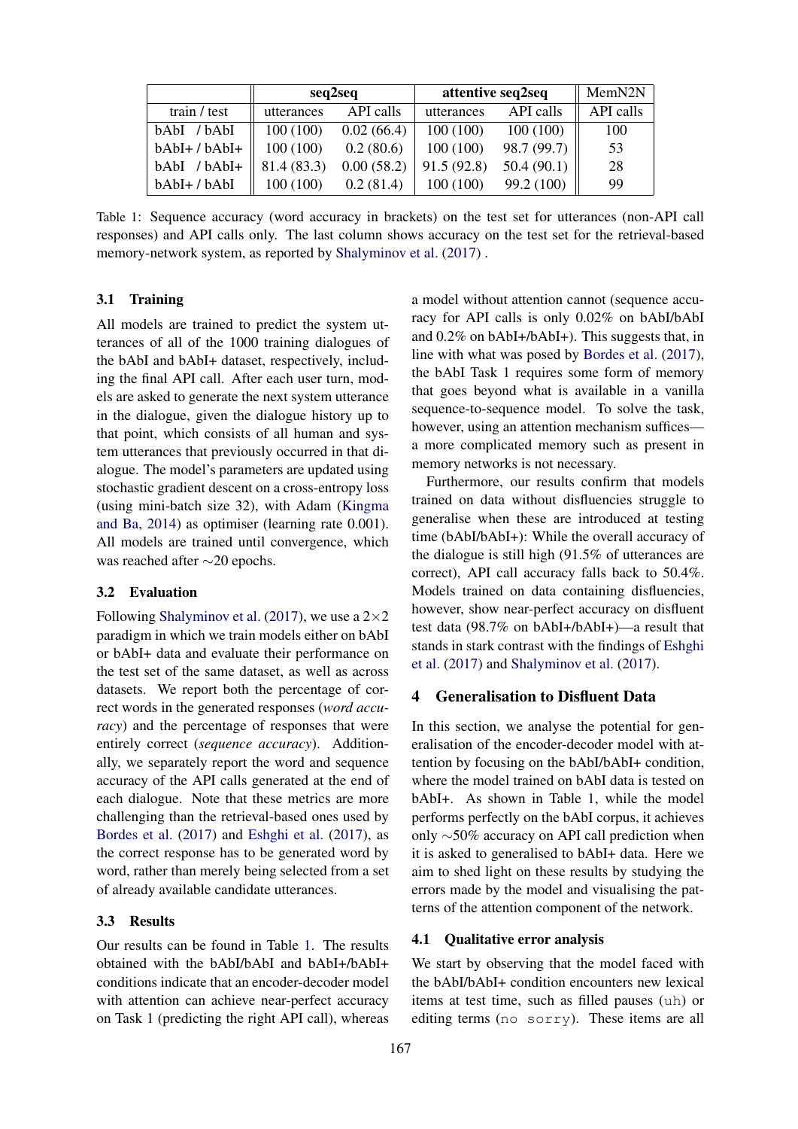<span id="page-3-1"></span>

|                 | seq2seq     |            | attentive seq2seq |             | MemN2N    |
|-----------------|-------------|------------|-------------------|-------------|-----------|
| train / test    | utterances  | API calls  | utterances        | API calls   | API calls |
| bAbI / bAbI     | 100(100)    | 0.02(66.4) | 100(100)          | 100(100)    | 100       |
| $bAbI+ / bAbI+$ | 100(100)    | 0.2(80.6)  | 100(100)          | 98.7 (99.7) | 53        |
| bAbI /bAbI+     | 81.4 (83.3) | 0.00(58.2) | 91.5(92.8)        | 50.4(90.1)  | 28        |
| bAbI+/bAbI      | 100 (100)   | 0.2(81.4)  | 100(100)          | 99.2 (100)  | 99        |

Table 1: Sequence accuracy (word accuracy in brackets) on the test set for utterances (non-API call responses) and API calls only. The last column shows accuracy on the test set for the retrieval-based memory-network system, as reported by [Shalyminov et al.](#page-9-13) [\(2017\)](#page-9-13) .

#### 3.1 Training

All models are trained to predict the system utterances of all of the 1000 training dialogues of the bAbI and bAbI+ dataset, respectively, including the final API call. After each user turn, models are asked to generate the next system utterance in the dialogue, given the dialogue history up to that point, which consists of all human and system utterances that previously occurred in that dialogue. The model's parameters are updated using stochastic gradient descent on a cross-entropy loss (using mini-batch size 32), with Adam [\(Kingma](#page-9-15) [and Ba,](#page-9-15) [2014\)](#page-9-15) as optimiser (learning rate 0.001). All models are trained until convergence, which was reached after ∼20 epochs.

#### 3.2 Evaluation

Following [Shalyminov et al.](#page-9-13) [\(2017\)](#page-9-13), we use a  $2\times 2$ paradigm in which we train models either on bAbI or bAbI+ data and evaluate their performance on the test set of the same dataset, as well as across datasets. We report both the percentage of correct words in the generated responses (*word accuracy*) and the percentage of responses that were entirely correct (*sequence accuracy*). Additionally, we separately report the word and sequence accuracy of the API calls generated at the end of each dialogue. Note that these metrics are more challenging than the retrieval-based ones used by [Bordes et al.](#page-9-3) [\(2017\)](#page-9-3) and [Eshghi et al.](#page-9-14) [\(2017\)](#page-9-14), as the correct response has to be generated word by word, rather than merely being selected from a set of already available candidate utterances.

#### 3.3 Results

Our results can be found in Table [1.](#page-3-1) The results obtained with the bAbI/bAbI and bAbI+/bAbI+ conditions indicate that an encoder-decoder model with attention can achieve near-perfect accuracy on Task 1 (predicting the right API call), whereas

a model without attention cannot (sequence accuracy for API calls is only 0.02% on bAbI/bAbI and 0.2% on bAbI+/bAbI+). This suggests that, in line with what was posed by [Bordes et al.](#page-9-3) [\(2017\)](#page-9-3), the bAbI Task 1 requires some form of memory that goes beyond what is available in a vanilla sequence-to-sequence model. To solve the task, however, using an attention mechanism suffices a more complicated memory such as present in memory networks is not necessary.

Furthermore, our results confirm that models trained on data without disfluencies struggle to generalise when these are introduced at testing time (bAbI/bAbI+): While the overall accuracy of the dialogue is still high (91.5% of utterances are correct), API call accuracy falls back to 50.4%. Models trained on data containing disfluencies, however, show near-perfect accuracy on disfluent test data (98.7% on bAbI+/bAbI+)—a result that stands in stark contrast with the findings of [Eshghi](#page-9-14) [et al.](#page-9-14) [\(2017\)](#page-9-14) and [Shalyminov et al.](#page-9-13) [\(2017\)](#page-9-13).

### 4 Generalisation to Disfluent Data

In this section, we analyse the potential for generalisation of the encoder-decoder model with attention by focusing on the bAbI/bAbI+ condition, where the model trained on bAbI data is tested on bAbI+. As shown in Table [1,](#page-3-1) while the model performs perfectly on the bAbI corpus, it achieves only ∼50% accuracy on API call prediction when it is asked to generalised to bAbI+ data. Here we aim to shed light on these results by studying the errors made by the model and visualising the patterns of the attention component of the network.

#### <span id="page-3-0"></span>4.1 Qualitative error analysis

We start by observing that the model faced with the bAbI/bAbI+ condition encounters new lexical items at test time, such as filled pauses (uh) or editing terms (no sorry). These items are all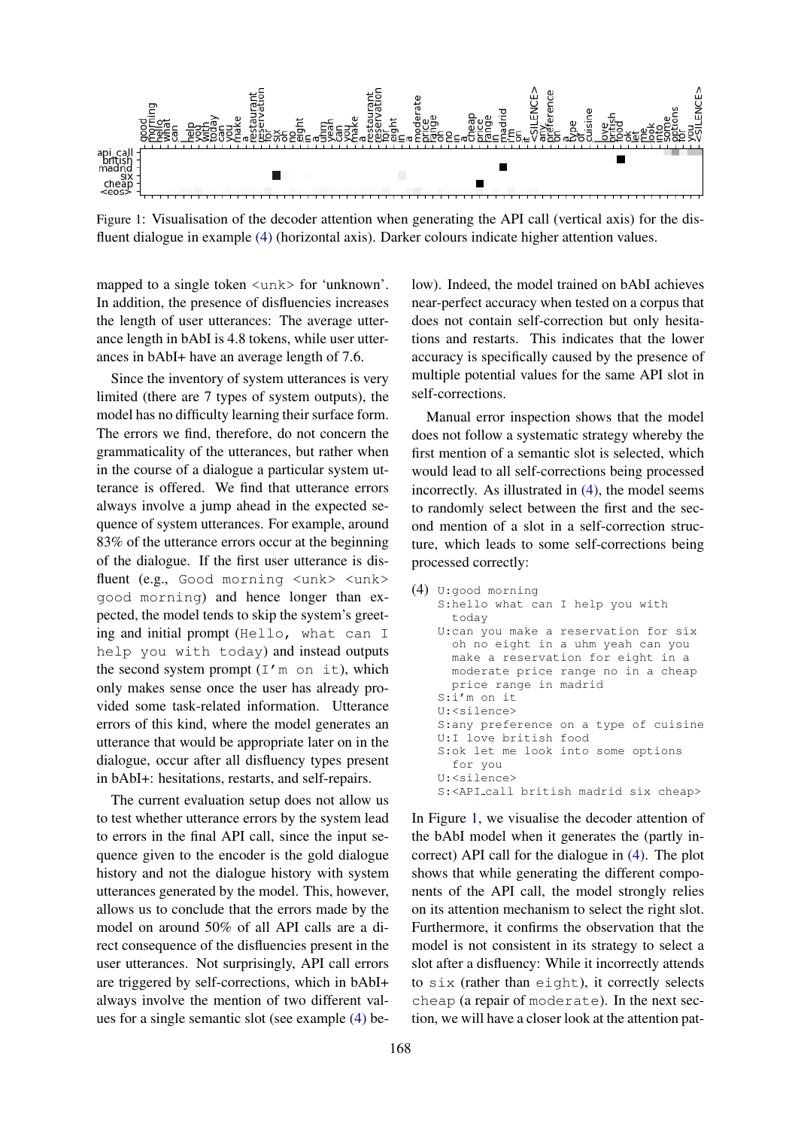

Figure 1: Visualisation of the decoder attention when generating the API call (vertical axis) for the disfluent dialogue in example [\(4\)](#page-4-0) (horizontal axis). Darker colours indicate higher attention values.

mapped to a single token <unk> for 'unknown'. In addition, the presence of disfluencies increases the length of user utterances: The average utterance length in bAbI is 4.8 tokens, while user utterances in bAbI+ have an average length of 7.6.

Since the inventory of system utterances is very limited (there are 7 types of system outputs), the model has no difficulty learning their surface form. The errors we find, therefore, do not concern the grammaticality of the utterances, but rather when in the course of a dialogue a particular system utterance is offered. We find that utterance errors always involve a jump ahead in the expected sequence of system utterances. For example, around 83% of the utterance errors occur at the beginning of the dialogue. If the first user utterance is disfluent (e.g., Good morning <unk> <unk> good morning) and hence longer than expected, the model tends to skip the system's greeting and initial prompt (Hello, what can I help you with today) and instead outputs the second system prompt  $(I'm \text{ on } it)$ , which only makes sense once the user has already provided some task-related information. Utterance errors of this kind, where the model generates an utterance that would be appropriate later on in the dialogue, occur after all disfluency types present in bAbI+: hesitations, restarts, and self-repairs.

The current evaluation setup does not allow us to test whether utterance errors by the system lead to errors in the final API call, since the input sequence given to the encoder is the gold dialogue history and not the dialogue history with system utterances generated by the model. This, however, allows us to conclude that the errors made by the model on around 50% of all API calls are a direct consequence of the disfluencies present in the user utterances. Not surprisingly, API call errors are triggered by self-corrections, which in bAbI+ always involve the mention of two different values for a single semantic slot (see example [\(4\)](#page-4-0) be-

low). Indeed, the model trained on bAbI achieves near-perfect accuracy when tested on a corpus that does not contain self-correction but only hesitations and restarts. This indicates that the lower accuracy is specifically caused by the presence of multiple potential values for the same API slot in self-corrections.

Manual error inspection shows that the model does not follow a systematic strategy whereby the first mention of a semantic slot is selected, which would lead to all self-corrections being processed incorrectly. As illustrated in [\(4\),](#page-4-0) the model seems to randomly select between the first and the second mention of a slot in a self-correction structure, which leads to some self-corrections being processed correctly:

```
(4) U:good morning
S:hello what can I help you with
  today
U:can you make a reservation for six
  oh no eight in a uhm yeah can you
  make a reservation for eight in a
  moderate price range no in a cheap
  price range in madrid
S:i'm on it
U:<silence>
S:any preference on a type of cuisine
U:I love british food
S:ok let me look into some options
  for you
U:<silence>
S:<API_call british madrid six cheap>
```
In Figure [1,](#page-7-0) we visualise the decoder attention of the bAbI model when it generates the (partly incorrect) API call for the dialogue in [\(4\).](#page-4-0) The plot shows that while generating the different components of the API call, the model strongly relies on its attention mechanism to select the right slot. Furthermore, it confirms the observation that the model is not consistent in its strategy to select a slot after a disfluency: While it incorrectly attends to six (rather than eight), it correctly selects cheap (a repair of moderate). In the next section, we will have a closer look at the attention pat-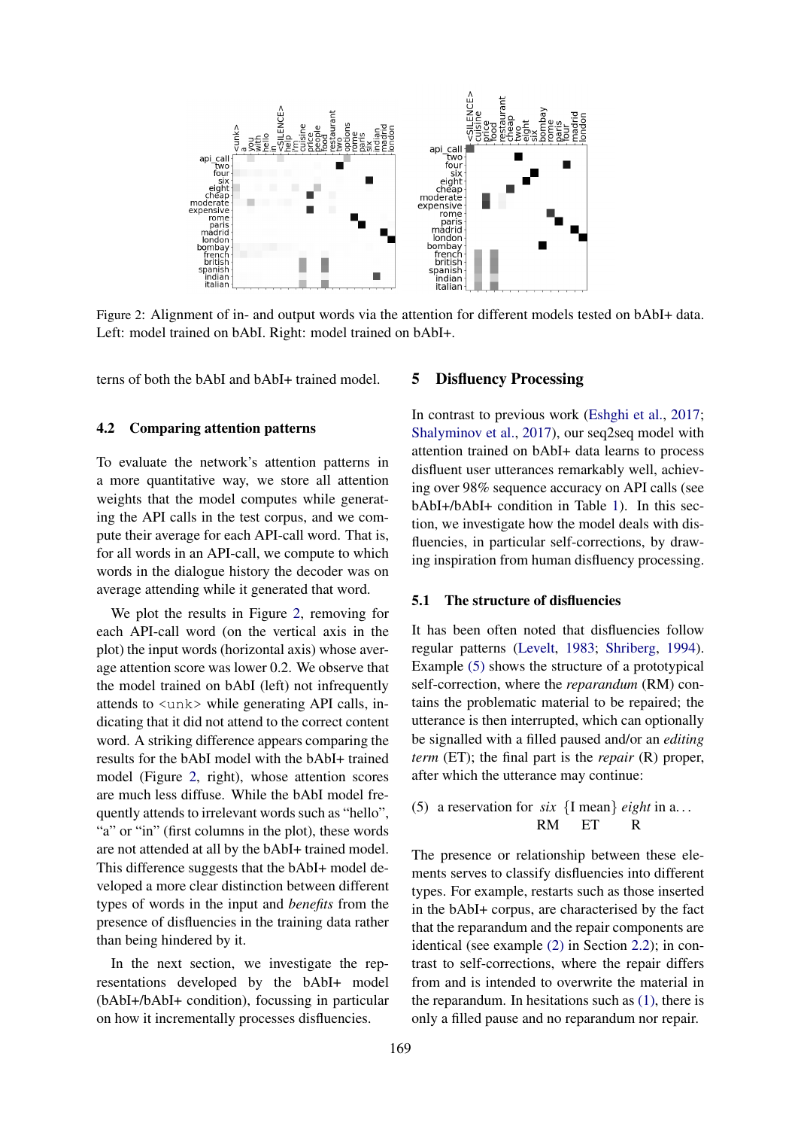

Figure 2: Alignment of in- and output words via the attention for different models tested on bAbI+ data. Left: model trained on bAbI. Right: model trained on bAbI+.

terns of both the bAbI and bAbI+ trained model.

#### 4.2 Comparing attention patterns

To evaluate the network's attention patterns in a more quantitative way, we store all attention weights that the model computes while generating the API calls in the test corpus, and we compute their average for each API-call word. That is, for all words in an API-call, we compute to which words in the dialogue history the decoder was on average attending while it generated that word.

We plot the results in Figure [2,](#page-1-0) removing for each API-call word (on the vertical axis in the plot) the input words (horizontal axis) whose average attention score was lower 0.2. We observe that the model trained on bAbI (left) not infrequently attends to  $\langle$ unk $>$  while generating API calls, indicating that it did not attend to the correct content word. A striking difference appears comparing the results for the bAbI model with the bAbI+ trained model (Figure [2,](#page-1-0) right), whose attention scores are much less diffuse. While the bAbI model frequently attends to irrelevant words such as "hello", "a" or "in" (first columns in the plot), these words are not attended at all by the bAbI+ trained model. This difference suggests that the bAbI+ model developed a more clear distinction between different types of words in the input and *benefits* from the presence of disfluencies in the training data rather than being hindered by it.

In the next section, we investigate the representations developed by the bAbI+ model (bAbI+/bAbI+ condition), focussing in particular on how it incrementally processes disfluencies.

## 5 Disfluency Processing

In contrast to previous work [\(Eshghi et al.,](#page-9-14) [2017;](#page-9-14) [Shalyminov et al.,](#page-9-13) [2017\)](#page-9-13), our seq2seq model with attention trained on bAbI+ data learns to process disfluent user utterances remarkably well, achieving over 98% sequence accuracy on API calls (see bAbI+/bAbI+ condition in Table [1\)](#page-3-1). In this section, we investigate how the model deals with disfluencies, in particular self-corrections, by drawing inspiration from human disfluency processing.

#### 5.1 The structure of disfluencies

It has been often noted that disfluencies follow regular patterns [\(Levelt,](#page-9-4) [1983;](#page-9-4) [Shriberg,](#page-9-16) [1994\)](#page-9-16). Example [\(5\)](#page-5-0) shows the structure of a prototypical self-correction, where the *reparandum* (RM) contains the problematic material to be repaired; the utterance is then interrupted, which can optionally be signalled with a filled paused and/or an *editing term* (ET); the final part is the *repair* (R) proper, after which the utterance may continue:

<span id="page-5-0"></span>(5) a reservation for *six* {I mean} *eight* in a. . . RM ET R

The presence or relationship between these elements serves to classify disfluencies into different types. For example, restarts such as those inserted in the bAbI+ corpus, are characterised by the fact that the reparandum and the repair components are identical (see example [\(2\)](#page-2-2) in Section [2.2\)](#page-2-5); in contrast to self-corrections, where the repair differs from and is intended to overwrite the material in the reparandum. In hesitations such as [\(1\),](#page-2-1) there is only a filled pause and no reparandum nor repair.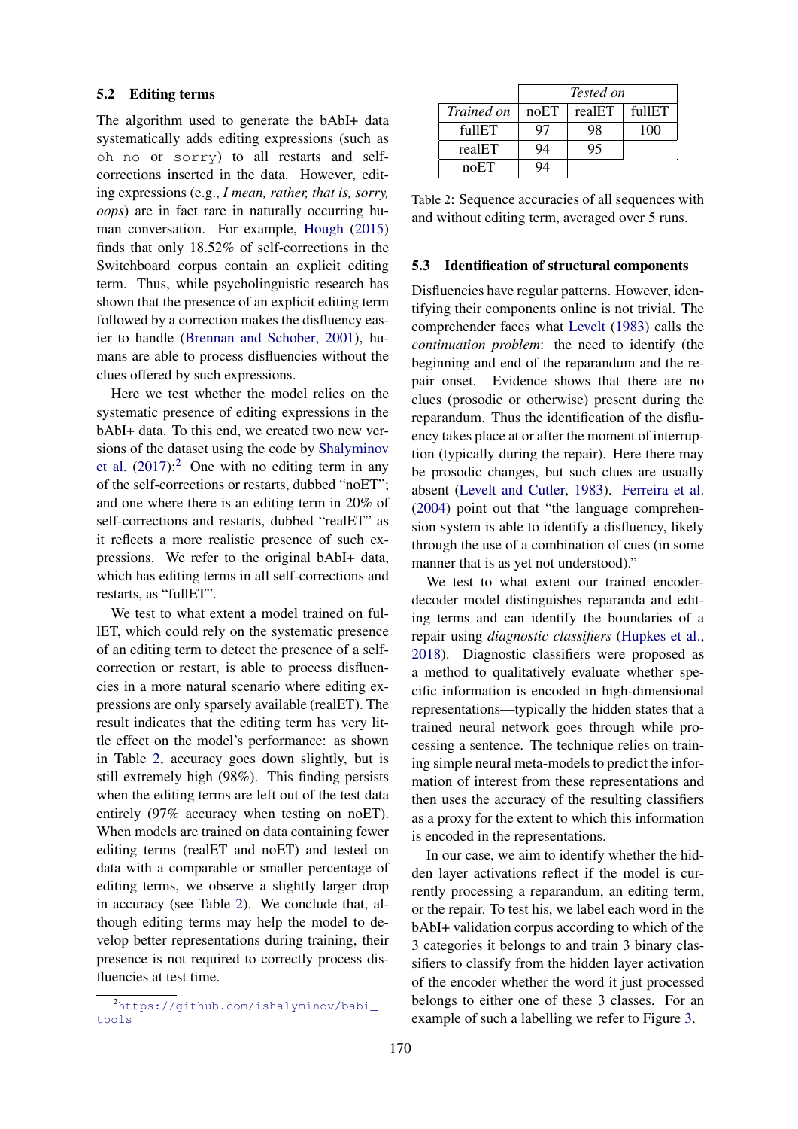#### <span id="page-6-1"></span>5.2 Editing terms

The algorithm used to generate the bAbI+ data systematically adds editing expressions (such as oh no or sorry) to all restarts and selfcorrections inserted in the data. However, editing expressions (e.g., *I mean, rather, that is, sorry, oops*) are in fact rare in naturally occurring human conversation. For example, [Hough](#page-9-17) [\(2015\)](#page-9-17) finds that only 18.52% of self-corrections in the Switchboard corpus contain an explicit editing term. Thus, while psycholinguistic research has shown that the presence of an explicit editing term followed by a correction makes the disfluency easier to handle [\(Brennan and Schober,](#page-9-9) [2001\)](#page-9-9), humans are able to process disfluencies without the clues offered by such expressions.

Here we test whether the model relies on the systematic presence of editing expressions in the bAbI+ data. To this end, we created two new versions of the dataset using the code by [Shalyminov](#page-9-13) [et al.](#page-9-13)  $(2017)$ :  $\overline{c}$  One with no editing term in any of the self-corrections or restarts, dubbed "noET"; and one where there is an editing term in 20% of self-corrections and restarts, dubbed "realET" as it reflects a more realistic presence of such expressions. We refer to the original bAbI+ data, which has editing terms in all self-corrections and restarts, as "fullET".

We test to what extent a model trained on fullET, which could rely on the systematic presence of an editing term to detect the presence of a selfcorrection or restart, is able to process disfluencies in a more natural scenario where editing expressions are only sparsely available (realET). The result indicates that the editing term has very little effect on the model's performance: as shown in Table [2,](#page-1-0) accuracy goes down slightly, but is still extremely high (98%). This finding persists when the editing terms are left out of the test data entirely (97% accuracy when testing on noET). When models are trained on data containing fewer editing terms (realET and noET) and tested on data with a comparable or smaller percentage of editing terms, we observe a slightly larger drop in accuracy (see Table [2\)](#page-1-0). We conclude that, although editing terms may help the model to develop better representations during training, their presence is not required to correctly process disfluencies at test time.

|                   | Tested on |        |        |
|-------------------|-----------|--------|--------|
| <i>Trained on</i> | noET      | realET | fullET |
| fillET            | 97        | 98     | 100    |
| realET            | 94        | ל ל    |        |
| noET              |           |        |        |

Table 2: Sequence accuracies of all sequences with and without editing term, averaged over 5 runs.

#### 5.3 Identification of structural components

Disfluencies have regular patterns. However, identifying their components online is not trivial. The comprehender faces what [Levelt](#page-9-4) [\(1983\)](#page-9-4) calls the *continuation problem*: the need to identify (the beginning and end of the reparandum and the repair onset. Evidence shows that there are no clues (prosodic or otherwise) present during the reparandum. Thus the identification of the disfluency takes place at or after the moment of interruption (typically during the repair). Here there may be prosodic changes, but such clues are usually absent [\(Levelt and Cutler,](#page-9-18) [1983\)](#page-9-18). [Ferreira et al.](#page-9-19) [\(2004\)](#page-9-19) point out that "the language comprehension system is able to identify a disfluency, likely through the use of a combination of cues (in some manner that is as yet not understood)."

We test to what extent our trained encoderdecoder model distinguishes reparanda and editing terms and can identify the boundaries of a repair using *diagnostic classifiers* [\(Hupkes et al.,](#page-9-20) [2018\)](#page-9-20). Diagnostic classifiers were proposed as a method to qualitatively evaluate whether specific information is encoded in high-dimensional representations—typically the hidden states that a trained neural network goes through while processing a sentence. The technique relies on training simple neural meta-models to predict the information of interest from these representations and then uses the accuracy of the resulting classifiers as a proxy for the extent to which this information is encoded in the representations.

In our case, we aim to identify whether the hidden layer activations reflect if the model is currently processing a reparandum, an editing term, or the repair. To test his, we label each word in the bAbI+ validation corpus according to which of the 3 categories it belongs to and train 3 binary classifiers to classify from the hidden layer activation of the encoder whether the word it just processed belongs to either one of these 3 classes. For an example of such a labelling we refer to Figure [3.](#page-1-0)

<span id="page-6-0"></span><sup>2</sup>[https://github.com/ishalyminov/babi\\_](https://github.com/ishalyminov/babi_tools) [tools](https://github.com/ishalyminov/babi_tools)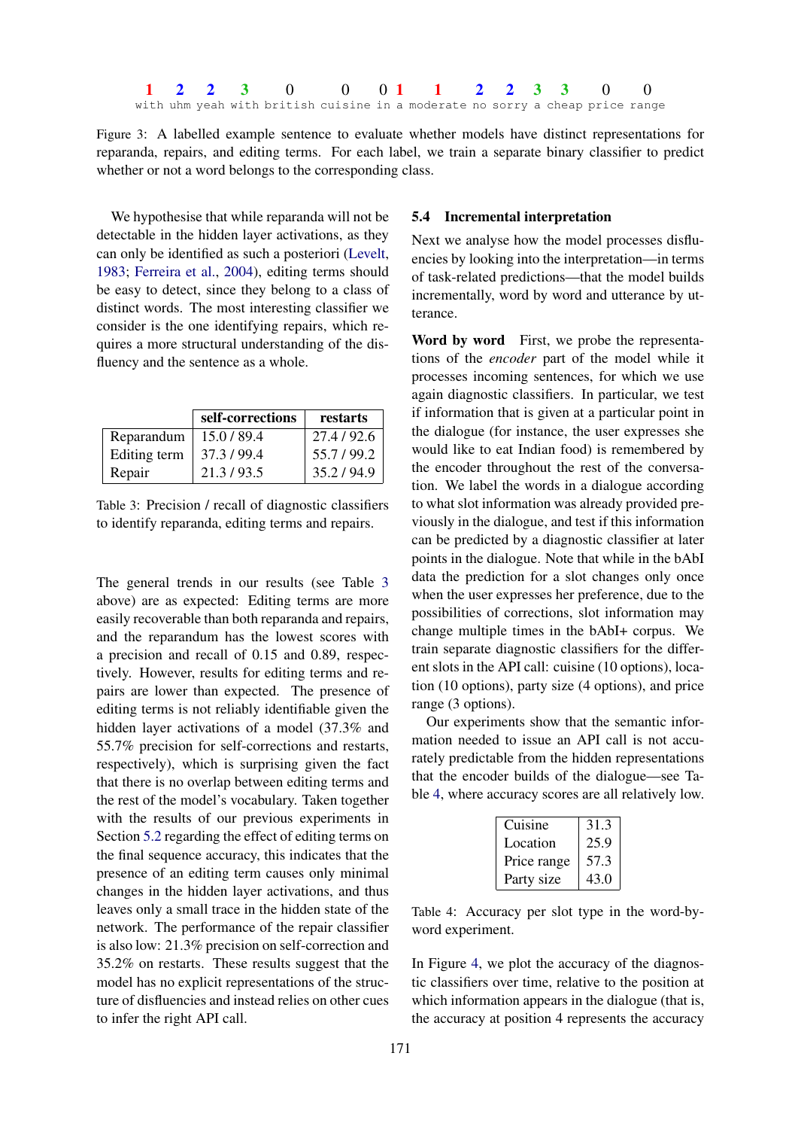<span id="page-7-0"></span>Figure 3: A labelled example sentence to evaluate whether models have distinct representations for reparanda, repairs, and editing terms. For each label, we train a separate binary classifier to predict whether or not a word belongs to the corresponding class.

We hypothesise that while reparanda will not be detectable in the hidden layer activations, as they can only be identified as such a posteriori [\(Levelt,](#page-9-4) [1983;](#page-9-4) [Ferreira et al.,](#page-9-19) [2004\)](#page-9-19), editing terms should be easy to detect, since they belong to a class of distinct words. The most interesting classifier we consider is the one identifying repairs, which requires a more structural understanding of the disfluency and the sentence as a whole.

|              | self-corrections | restarts  |
|--------------|------------------|-----------|
| Reparandum   | 15.0/89.4        | 27.4/92.6 |
| Editing term | 37.3/99.4        | 55.7/99.2 |
| Repair       | 21.3/93.5        | 35.2/94.9 |

Table 3: Precision / recall of diagnostic classifiers to identify reparanda, editing terms and repairs.

The general trends in our results (see Table [3](#page-1-0) above) are as expected: Editing terms are more easily recoverable than both reparanda and repairs, and the reparandum has the lowest scores with a precision and recall of 0.15 and 0.89, respectively. However, results for editing terms and repairs are lower than expected. The presence of editing terms is not reliably identifiable given the hidden layer activations of a model (37.3% and 55.7% precision for self-corrections and restarts, respectively), which is surprising given the fact that there is no overlap between editing terms and the rest of the model's vocabulary. Taken together with the results of our previous experiments in Section [5.2](#page-6-1) regarding the effect of editing terms on the final sequence accuracy, this indicates that the presence of an editing term causes only minimal changes in the hidden layer activations, and thus leaves only a small trace in the hidden state of the network. The performance of the repair classifier is also low: 21.3% precision on self-correction and 35.2% on restarts. These results suggest that the model has no explicit representations of the structure of disfluencies and instead relies on other cues to infer the right API call.

#### 5.4 Incremental interpretation

Next we analyse how the model processes disfluencies by looking into the interpretation—in terms of task-related predictions—that the model builds incrementally, word by word and utterance by utterance.

Word by word First, we probe the representations of the *encoder* part of the model while it processes incoming sentences, for which we use again diagnostic classifiers. In particular, we test if information that is given at a particular point in the dialogue (for instance, the user expresses she would like to eat Indian food) is remembered by the encoder throughout the rest of the conversation. We label the words in a dialogue according to what slot information was already provided previously in the dialogue, and test if this information can be predicted by a diagnostic classifier at later points in the dialogue. Note that while in the bAbI data the prediction for a slot changes only once when the user expresses her preference, due to the possibilities of corrections, slot information may change multiple times in the bAbI+ corpus. We train separate diagnostic classifiers for the different slots in the API call: cuisine (10 options), location (10 options), party size (4 options), and price range (3 options).

Our experiments show that the semantic information needed to issue an API call is not accurately predictable from the hidden representations that the encoder builds of the dialogue—see Table [4,](#page-8-0) where accuracy scores are all relatively low.

| Cuisine     | 31.3 |
|-------------|------|
| Location    | 25.9 |
| Price range | 57.3 |
| Party size  | 43.0 |

Table 4: Accuracy per slot type in the word-byword experiment.

In Figure [4,](#page-1-0) we plot the accuracy of the diagnostic classifiers over time, relative to the position at which information appears in the dialogue (that is, the accuracy at position 4 represents the accuracy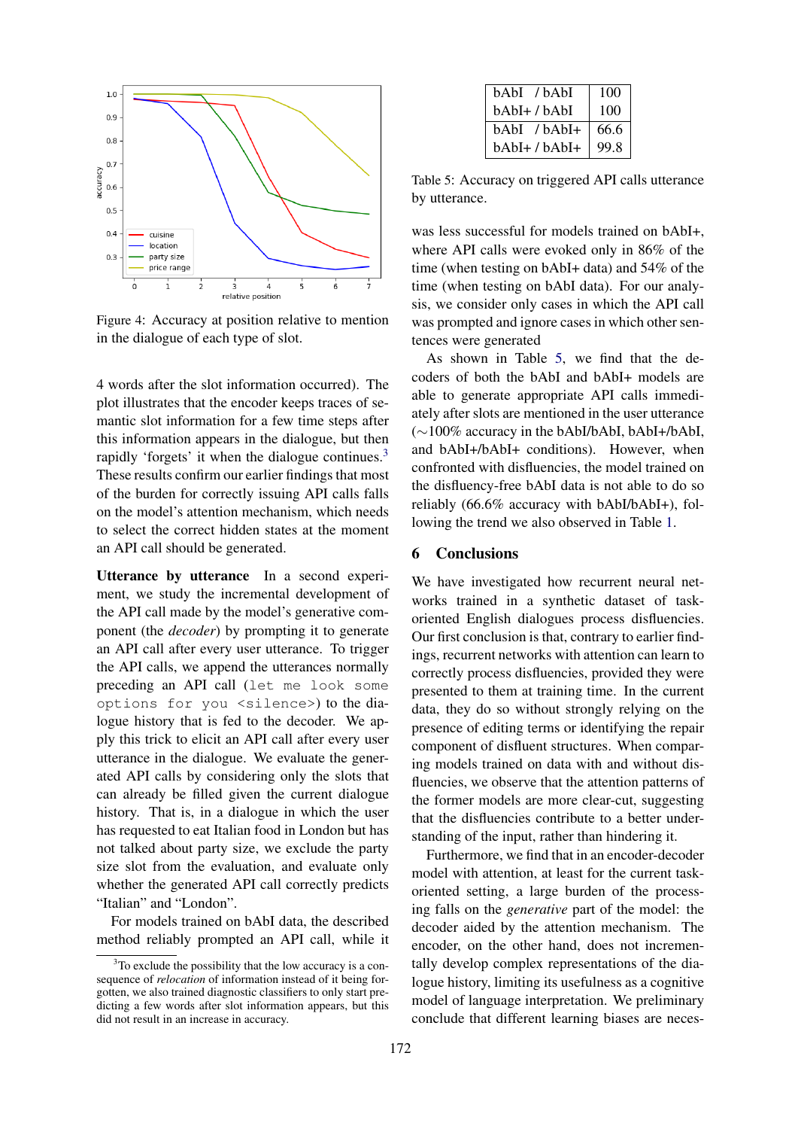

Figure 4: Accuracy at position relative to mention in the dialogue of each type of slot.

4 words after the slot information occurred). The plot illustrates that the encoder keeps traces of semantic slot information for a few time steps after this information appears in the dialogue, but then rapidly 'forgets' it when the dialogue continues.<sup>[3](#page-8-1)</sup> These results confirm our earlier findings that most of the burden for correctly issuing API calls falls on the model's attention mechanism, which needs to select the correct hidden states at the moment an API call should be generated.

Utterance by utterance In a second experiment, we study the incremental development of the API call made by the model's generative component (the *decoder*) by prompting it to generate an API call after every user utterance. To trigger the API calls, we append the utterances normally preceding an API call (let me look some options for you <silence>) to the dialogue history that is fed to the decoder. We apply this trick to elicit an API call after every user utterance in the dialogue. We evaluate the generated API calls by considering only the slots that can already be filled given the current dialogue history. That is, in a dialogue in which the user has requested to eat Italian food in London but has not talked about party size, we exclude the party size slot from the evaluation, and evaluate only whether the generated API call correctly predicts "Italian" and "London".

For models trained on bAbI data, the described method reliably prompted an API call, while it

<span id="page-8-0"></span>

| bAbI /bAbI    | 100  |
|---------------|------|
| bAbI+ / bAbI  | 100  |
| bAbI /bAbI+   | 66.6 |
| bAbI+ / bAbI+ | 99.8 |

Table 5: Accuracy on triggered API calls utterance by utterance.

was less successful for models trained on bAbI+, where API calls were evoked only in 86% of the time (when testing on bAbI+ data) and 54% of the time (when testing on bAbI data). For our analysis, we consider only cases in which the API call was prompted and ignore cases in which other sentences were generated

As shown in Table [5,](#page-1-0) we find that the decoders of both the bAbI and bAbI+ models are able to generate appropriate API calls immediately after slots are mentioned in the user utterance (∼100% accuracy in the bAbI/bAbI, bAbI+/bAbI, and bAbI+/bAbI+ conditions). However, when confronted with disfluencies, the model trained on the disfluency-free bAbI data is not able to do so reliably (66.6% accuracy with bAbI/bAbI+), following the trend we also observed in Table [1.](#page-3-1)

## 6 Conclusions

We have investigated how recurrent neural networks trained in a synthetic dataset of taskoriented English dialogues process disfluencies. Our first conclusion is that, contrary to earlier findings, recurrent networks with attention can learn to correctly process disfluencies, provided they were presented to them at training time. In the current data, they do so without strongly relying on the presence of editing terms or identifying the repair component of disfluent structures. When comparing models trained on data with and without disfluencies, we observe that the attention patterns of the former models are more clear-cut, suggesting that the disfluencies contribute to a better understanding of the input, rather than hindering it.

Furthermore, we find that in an encoder-decoder model with attention, at least for the current taskoriented setting, a large burden of the processing falls on the *generative* part of the model: the decoder aided by the attention mechanism. The encoder, on the other hand, does not incrementally develop complex representations of the dialogue history, limiting its usefulness as a cognitive model of language interpretation. We preliminary conclude that different learning biases are neces-

<span id="page-8-1"></span> $3$ To exclude the possibility that the low accuracy is a consequence of *relocation* of information instead of it being forgotten, we also trained diagnostic classifiers to only start predicting a few words after slot information appears, but this did not result in an increase in accuracy.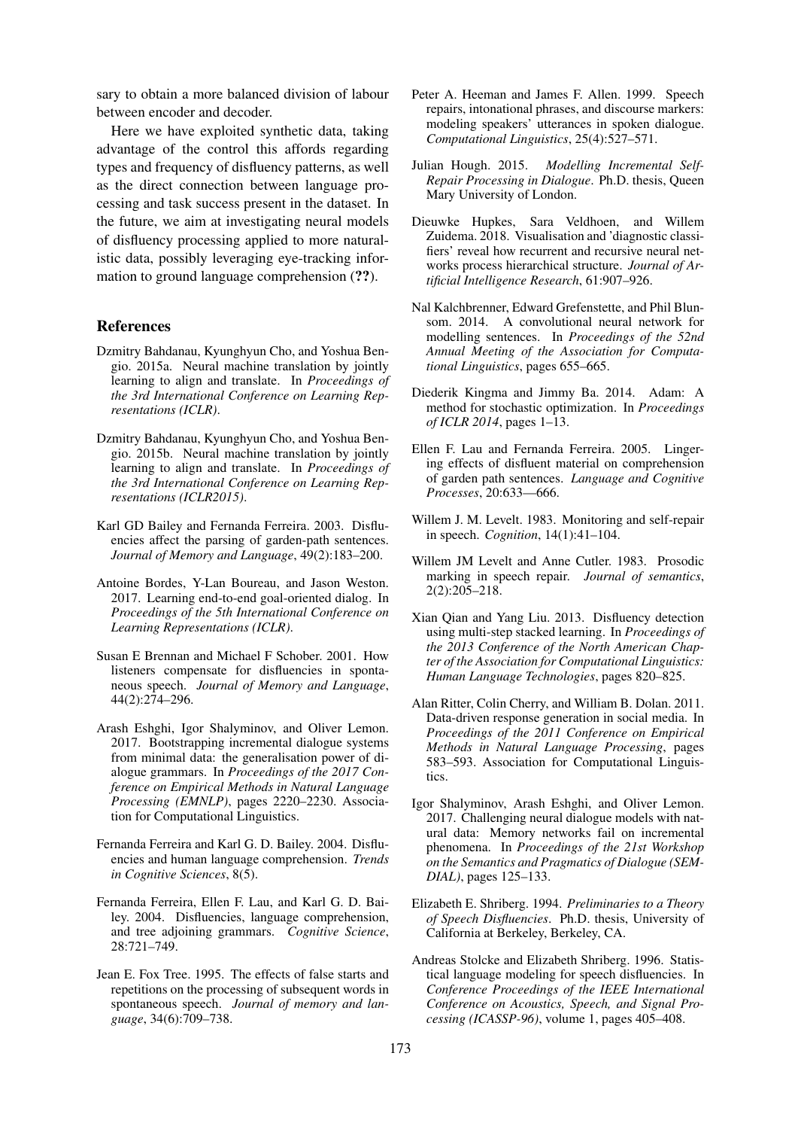sary to obtain a more balanced division of labour between encoder and decoder.

Here we have exploited synthetic data, taking advantage of the control this affords regarding types and frequency of disfluency patterns, as well as the direct connection between language processing and task success present in the dataset. In the future, we aim at investigating neural models of disfluency processing applied to more naturalistic data, possibly leveraging eye-tracking information to ground language comprehension (??).

#### References

- Dzmitry Bahdanau, Kyunghyun Cho, and Yoshua Bengio. 2015a. Neural machine translation by jointly learning to align and translate. In *Proceedings of the 3rd International Conference on Learning Representations (ICLR)*.
- <span id="page-9-0"></span>Dzmitry Bahdanau, Kyunghyun Cho, and Yoshua Bengio. 2015b. Neural machine translation by jointly learning to align and translate. In *Proceedings of the 3rd International Conference on Learning Representations (ICLR2015)*.
- <span id="page-9-6"></span>Karl GD Bailey and Fernanda Ferreira. 2003. Disfluencies affect the parsing of garden-path sentences. *Journal of Memory and Language*, 49(2):183–200.
- <span id="page-9-3"></span>Antoine Bordes, Y-Lan Boureau, and Jason Weston. 2017. Learning end-to-end goal-oriented dialog. In *Proceedings of the 5th International Conference on Learning Representations (ICLR)*.
- <span id="page-9-9"></span>Susan E Brennan and Michael F Schober. 2001. How listeners compensate for disfluencies in spontaneous speech. *Journal of Memory and Language*, 44(2):274–296.
- <span id="page-9-14"></span>Arash Eshghi, Igor Shalyminov, and Oliver Lemon. 2017. Bootstrapping incremental dialogue systems from minimal data: the generalisation power of dialogue grammars. In *Proceedings of the 2017 Conference on Empirical Methods in Natural Language Processing (EMNLP)*, pages 2220–2230. Association for Computational Linguistics.
- <span id="page-9-7"></span>Fernanda Ferreira and Karl G. D. Bailey. 2004. Disfluencies and human language comprehension. *Trends in Cognitive Sciences*, 8(5).
- <span id="page-9-19"></span>Fernanda Ferreira, Ellen F. Lau, and Karl G. D. Bailey. 2004. Disfluencies, language comprehension, and tree adjoining grammars. *Cognitive Science*, 28:721–749.
- <span id="page-9-5"></span>Jean E. Fox Tree. 1995. The effects of false starts and repetitions on the processing of subsequent words in spontaneous speech. *Journal of memory and language*, 34(6):709–738.
- <span id="page-9-11"></span>Peter A. Heeman and James F. Allen. 1999. Speech repairs, intonational phrases, and discourse markers: modeling speakers' utterances in spoken dialogue. *Computational Linguistics*, 25(4):527–571.
- <span id="page-9-17"></span>Julian Hough. 2015. *Modelling Incremental Self-Repair Processing in Dialogue*. Ph.D. thesis, Queen Mary University of London.
- <span id="page-9-20"></span>Dieuwke Hupkes, Sara Veldhoen, and Willem Zuidema. 2018. Visualisation and 'diagnostic classifiers' reveal how recurrent and recursive neural networks process hierarchical structure. *Journal of Artificial Intelligence Research*, 61:907–926.
- <span id="page-9-1"></span>Nal Kalchbrenner, Edward Grefenstette, and Phil Blunsom. 2014. A convolutional neural network for modelling sentences. In *Proceedings of the 52nd Annual Meeting of the Association for Computational Linguistics*, pages 655–665.
- <span id="page-9-15"></span>Diederik Kingma and Jimmy Ba. 2014. Adam: A method for stochastic optimization. In *Proceedings of ICLR 2014*, pages 1–13.
- <span id="page-9-8"></span>Ellen F. Lau and Fernanda Ferreira. 2005. Lingering effects of disfluent material on comprehension of garden path sentences. *Language and Cognitive Processes*, 20:633—666.
- <span id="page-9-4"></span>Willem J. M. Levelt. 1983. Monitoring and self-repair in speech. *Cognition*, 14(1):41–104.
- <span id="page-9-18"></span>Willem JM Levelt and Anne Cutler. 1983. Prosodic marking in speech repair. *Journal of semantics*, 2(2):205–218.
- <span id="page-9-12"></span>Xian Qian and Yang Liu. 2013. Disfluency detection using multi-step stacked learning. In *Proceedings of the 2013 Conference of the North American Chapter of the Association for Computational Linguistics: Human Language Technologies*, pages 820–825.
- <span id="page-9-2"></span>Alan Ritter, Colin Cherry, and William B. Dolan. 2011. Data-driven response generation in social media. In *Proceedings of the 2011 Conference on Empirical Methods in Natural Language Processing*, pages 583–593. Association for Computational Linguistics.
- <span id="page-9-13"></span>Igor Shalyminov, Arash Eshghi, and Oliver Lemon. 2017. Challenging neural dialogue models with natural data: Memory networks fail on incremental phenomena. In *Proceedings of the 21st Workshop on the Semantics and Pragmatics of Dialogue (SEM-DIAL)*, pages 125–133.
- <span id="page-9-16"></span>Elizabeth E. Shriberg. 1994. *Preliminaries to a Theory of Speech Disfluencies*. Ph.D. thesis, University of California at Berkeley, Berkeley, CA.
- <span id="page-9-10"></span>Andreas Stolcke and Elizabeth Shriberg. 1996. Statistical language modeling for speech disfluencies. In *Conference Proceedings of the IEEE International Conference on Acoustics, Speech, and Signal Processing (ICASSP-96)*, volume 1, pages 405–408.